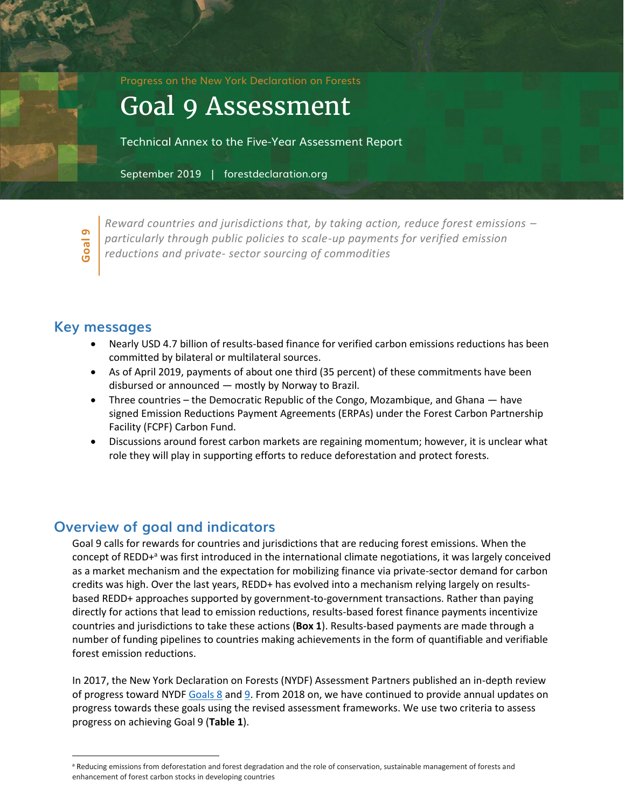Progress on the New York Declaration on Forests

# Goal 9 Assessment

Technical Annex to the Five-Year Assessment Report

September 2019 | forestdeclaration.org



*Reward countries and jurisdictions that, by taking action, reduce forest emissions – particularly through public policies to scale-up payments for verified emission reductions and private- sector sourcing of commodities*

## **Key messages**

- Nearly USD 4.7 billion of results-based finance for verified carbon emissions reductions has been committed by bilateral or multilateral sources.
- As of April 2019, payments of about one third (35 percent) of these commitments have been disbursed or announced — mostly by Norway to Brazil.
- Three countries the Democratic Republic of the Congo, Mozambique, and Ghana have signed Emission Reductions Payment Agreements (ERPAs) under the Forest Carbon Partnership Facility (FCPF) Carbon Fund.
- Discussions around forest carbon markets are regaining momentum; however, it is unclear what role they will play in supporting efforts to reduce deforestation and protect forests.

# **Overview of goal and indicators**

Goal 9 calls for rewards for countries and jurisdictions that are reducing forest emissions. When the concept of REDD+<sup>a</sup> was first introduced in the international climate negotiations, it was largely conceived as a market mechanism and the expectation for mobilizing finance via private-sector demand for carbon credits was high. Over the last years, REDD+ has evolved into a mechanism relying largely on resultsbased REDD+ approaches supported by government-to-government transactions. Rather than paying directly for actions that lead to emission reductions, results-based forest finance payments incentivize countries and jurisdictions to take these actions (**Box 1**). Results-based payments are made through a number of funding pipelines to countries making achievements in the form of quantifiable and verifiable forest emission reductions.

In 2017, the New York Declaration on Forests (NYDF) Assessment Partners published an in-depth review of progress toward NYDF [Goals 8](http://www.forestdeclaration.org/goals/goal-8) an[d 9.](http://www.forestdeclaration.org/goals/goal-9) From 2018 on, we have continued to provide annual updates on progress towards these goals using the revised assessment frameworks. We use two criteria to assess progress on achieving Goal 9 (**Table 1**).

a Reducing emissions from deforestation and forest degradation and the role of conservation, sustainable management of forests and enhancement of forest carbon stocks in developing countries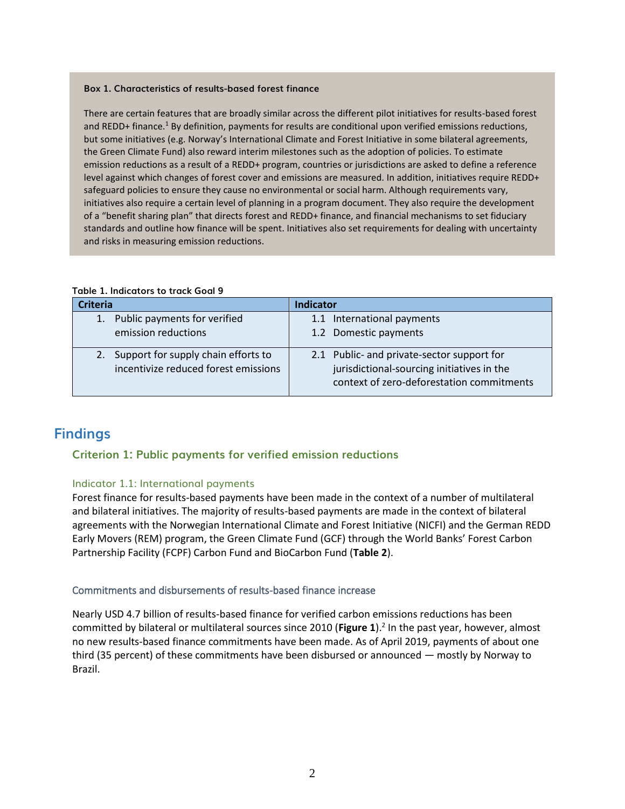#### **Box 1. Characteristics of results-based forest finance**

There are certain features that are broadly similar across the different pilot initiatives for results-based forest and REDD+ finance.<sup>1</sup> By definition, payments for results are conditional upon verified emissions reductions, but some initiatives (e.g. Norway's International Climate and Forest Initiative in some bilateral agreements, the Green Climate Fund) also reward interim milestones such as the adoption of policies. To estimate emission reductions as a result of a REDD+ program, countries or jurisdictions are asked to define a reference level against which changes of forest cover and emissions are measured. In addition, initiatives require REDD+ safeguard policies to ensure they cause no environmental or social harm. Although requirements vary, initiatives also require a certain level of planning in a program document. They also require the development of a "benefit sharing plan" that directs forest and REDD+ finance, and financial mechanisms to set fiduciary standards and outline how finance will be spent. Initiatives also set requirements for dealing with uncertainty and risks in measuring emission reductions.

| <b>Criteria</b>                      | <b>Indicator</b>                           |
|--------------------------------------|--------------------------------------------|
| 1. Public payments for verified      | 1.1 International payments                 |
| emission reductions                  | 1.2 Domestic payments                      |
| Support for supply chain efforts to  | 2.1 Public- and private-sector support for |
| 2.                                   | jurisdictional-sourcing initiatives in the |
| incentivize reduced forest emissions | context of zero-deforestation commitments  |

#### **Table 1. Indicators to track Goal 9**

# **Findings**

## **Criterion 1: Public payments for verified emission reductions**

## Indicator 1.1: International payments

Forest finance for results-based payments have been made in the context of a number of multilateral and bilateral initiatives. The majority of results-based payments are made in the context of bilateral agreements with the Norwegian International Climate and Forest Initiative (NICFI) and the German REDD Early Movers (REM) program, the Green Climate Fund (GCF) through the World Banks' Forest Carbon Partnership Facility (FCPF) Carbon Fund and BioCarbon Fund (**Table 2**).

#### Commitments and disbursements of results-based finance increase

Nearly USD 4.7 billion of results-based finance for verified carbon emissions reductions has been committed by bilateral or multilateral sources since 2010 (Figure 1).<sup>2</sup> In the past year, however, almost no new results-based finance commitments have been made. As of April 2019, payments of about one third (35 percent) of these commitments have been disbursed or announced — mostly by Norway to Brazil.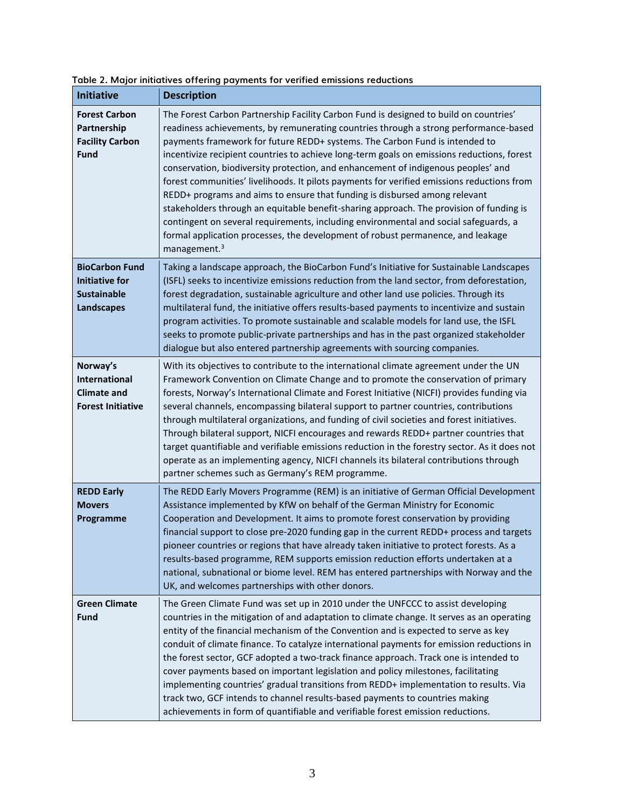| <b>Initiative</b>                                                                         | <b>Description</b>                                                                                                                                                                                                                                                                                                                                                                                                                                                                                                                                                                                                                                                                                                                                                                                                                                                                                                            |
|-------------------------------------------------------------------------------------------|-------------------------------------------------------------------------------------------------------------------------------------------------------------------------------------------------------------------------------------------------------------------------------------------------------------------------------------------------------------------------------------------------------------------------------------------------------------------------------------------------------------------------------------------------------------------------------------------------------------------------------------------------------------------------------------------------------------------------------------------------------------------------------------------------------------------------------------------------------------------------------------------------------------------------------|
| <b>Forest Carbon</b><br>Partnership<br><b>Facility Carbon</b><br>Fund                     | The Forest Carbon Partnership Facility Carbon Fund is designed to build on countries'<br>readiness achievements, by remunerating countries through a strong performance-based<br>payments framework for future REDD+ systems. The Carbon Fund is intended to<br>incentivize recipient countries to achieve long-term goals on emissions reductions, forest<br>conservation, biodiversity protection, and enhancement of indigenous peoples' and<br>forest communities' livelihoods. It pilots payments for verified emissions reductions from<br>REDD+ programs and aims to ensure that funding is disbursed among relevant<br>stakeholders through an equitable benefit-sharing approach. The provision of funding is<br>contingent on several requirements, including environmental and social safeguards, a<br>formal application processes, the development of robust permanence, and leakage<br>management. <sup>3</sup> |
| <b>BioCarbon Fund</b><br><b>Initiative for</b><br><b>Sustainable</b><br><b>Landscapes</b> | Taking a landscape approach, the BioCarbon Fund's Initiative for Sustainable Landscapes<br>(ISFL) seeks to incentivize emissions reduction from the land sector, from deforestation,<br>forest degradation, sustainable agriculture and other land use policies. Through its<br>multilateral fund, the initiative offers results-based payments to incentivize and sustain<br>program activities. To promote sustainable and scalable models for land use, the ISFL<br>seeks to promote public-private partnerships and has in the past organized stakeholder<br>dialogue but also entered partnership agreements with sourcing companies.                                                                                                                                                                                                                                                                                    |
| Norway's<br>International<br><b>Climate and</b><br><b>Forest Initiative</b>               | With its objectives to contribute to the international climate agreement under the UN<br>Framework Convention on Climate Change and to promote the conservation of primary<br>forests, Norway's International Climate and Forest Initiative (NICFI) provides funding via<br>several channels, encompassing bilateral support to partner countries, contributions<br>through multilateral organizations, and funding of civil societies and forest initiatives.<br>Through bilateral support, NICFI encourages and rewards REDD+ partner countries that<br>target quantifiable and verifiable emissions reduction in the forestry sector. As it does not<br>operate as an implementing agency, NICFI channels its bilateral contributions through<br>partner schemes such as Germany's REM programme.                                                                                                                          |
| <b>REDD Early</b><br><b>Movers</b><br>Programme                                           | The REDD Early Movers Programme (REM) is an initiative of German Official Development<br>Assistance implemented by KfW on behalf of the German Ministry for Economic<br>Cooperation and Development. It aims to promote forest conservation by providing<br>financial support to close pre-2020 funding gap in the current REDD+ process and targets<br>pioneer countries or regions that have already taken initiative to protect forests. As a<br>results-based programme, REM supports emission reduction efforts undertaken at a<br>national, subnational or biome level. REM has entered partnerships with Norway and the<br>UK, and welcomes partnerships with other donors.                                                                                                                                                                                                                                            |
| <b>Green Climate</b><br><b>Fund</b>                                                       | The Green Climate Fund was set up in 2010 under the UNFCCC to assist developing<br>countries in the mitigation of and adaptation to climate change. It serves as an operating<br>entity of the financial mechanism of the Convention and is expected to serve as key<br>conduit of climate finance. To catalyze international payments for emission reductions in<br>the forest sector, GCF adopted a two-track finance approach. Track one is intended to<br>cover payments based on important legislation and policy milestones, facilitating<br>implementing countries' gradual transitions from REDD+ implementation to results. Via<br>track two, GCF intends to channel results-based payments to countries making<br>achievements in form of quantifiable and verifiable forest emission reductions.                                                                                                                   |

## **Table 2. Major initiatives offering payments for verified emissions reductions**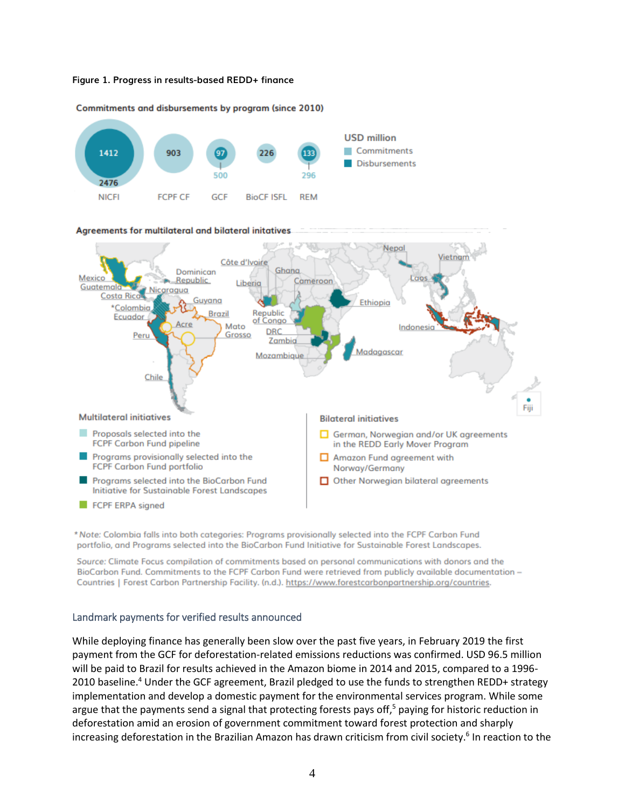



Commitments and disbursements by program (since 2010)

\* Note: Colombia falls into both categories: Programs provisionally selected into the FCPF Carbon Fund portfolio, and Programs selected into the BioCarbon Fund Initiative for Sustainable Forest Landscapes.

Source: Climate Focus compilation of commitments based on personal communications with donors and the BioCarbon Fund. Commitments to the FCPF Carbon Fund were retrieved from publicly available documentation -Countries | Forest Carbon Partnership Facility. (n.d.). https://www.forestcarbonpartnership.org/countries.

## Landmark payments for verified results announced

While deploying finance has generally been slow over the past five years, in February 2019 the first payment from the GCF for deforestation-related emissions reductions was confirmed. USD 96.5 million will be paid to Brazil for results achieved in the Amazon biome in 2014 and 2015, compared to a 1996- 2010 baseline.<sup>4</sup> Under the GCF agreement, Brazil pledged to use the funds to strengthen REDD+ strategy implementation and develop a domestic payment for the environmental services program. While some argue that the payments send a signal that protecting forests pays off, $5$  paying for historic reduction in deforestation amid an erosion of government commitment toward forest protection and sharply increasing deforestation in the Brazilian Amazon has drawn criticism from civil society.<sup>6</sup> In reaction to the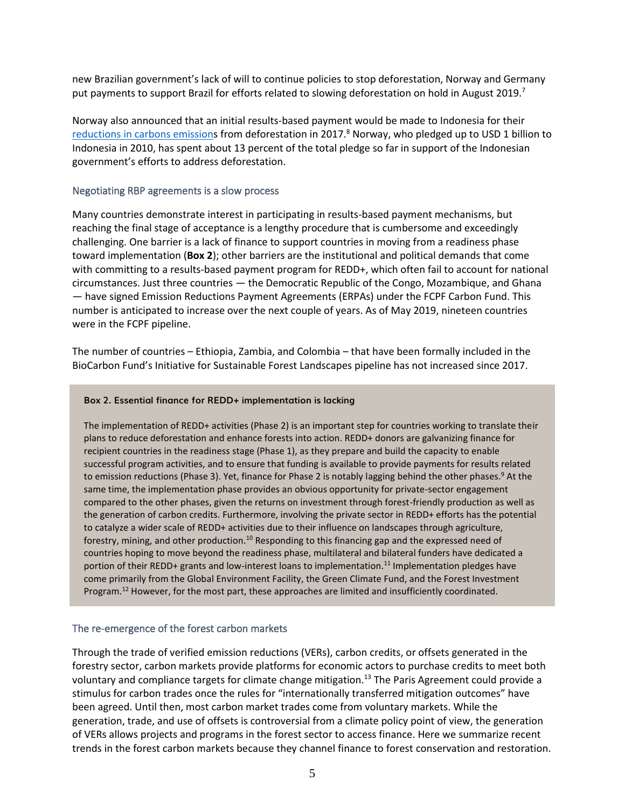new Brazilian government's lack of will to continue policies to stop deforestation, Norway and Germany put payments to support Brazil for efforts related to slowing deforestation on hold in August 2019.<sup>7</sup>

Norway also announced that an initial results-based payment would be made to Indonesia for their [reductions in carbons emissions](http://www.forestdeclaration.org/goals/goal-1) from deforestation in 2017.<sup>8</sup> Norway, who pledged up to USD 1 billion to Indonesia in 2010, has spent about 13 percent of the total pledge so far in support of the Indonesian government's efforts to address deforestation.

## Negotiating RBP agreements is a slow process

Many countries demonstrate interest in participating in results-based payment mechanisms, but reaching the final stage of acceptance is a lengthy procedure that is cumbersome and exceedingly challenging. One barrier is a lack of finance to support countries in moving from a readiness phase toward implementation (**Box 2**); other barriers are the institutional and political demands that come with committing to a results-based payment program for REDD+, which often fail to account for national circumstances. Just three countries — the Democratic Republic of the Congo, Mozambique, and Ghana — have signed Emission Reductions Payment Agreements (ERPAs) under the FCPF Carbon Fund. This number is anticipated to increase over the next couple of years. As of May 2019, nineteen countries were in the FCPF pipeline.

The number of countries – Ethiopia, Zambia, and Colombia – that have been formally included in the BioCarbon Fund's Initiative for Sustainable Forest Landscapes pipeline has not increased since 2017.

#### **Box 2. Essential finance for REDD+ implementation is lacking**

The implementation of REDD+ activities (Phase 2) is an important step for countries working to translate their plans to reduce deforestation and enhance forests into action. REDD+ donors are galvanizing finance for recipient countries in the readiness stage (Phase 1), as they prepare and build the capacity to enable successful program activities, and to ensure that funding is available to provide payments for results related to emission reductions (Phase 3). Yet, finance for Phase 2 is notably lagging behind the other phases.<sup>9</sup> At the same time, the implementation phase provides an obvious opportunity for private-sector engagement compared to the other phases, given the returns on investment through forest-friendly production as well as the generation of carbon credits. Furthermore, involving the private sector in REDD+ efforts has the potential to catalyze a wider scale of REDD+ activities due to their influence on landscapes through agriculture, forestry, mining, and other production.<sup>10</sup> Responding to this financing gap and the expressed need of countries hoping to move beyond the readiness phase, multilateral and bilateral funders have dedicated a portion of their REDD+ grants and low-interest loans to implementation.<sup>11</sup> Implementation pledges have come primarily from the Global Environment Facility, the Green Climate Fund, and the Forest Investment Program.<sup>12</sup> However, for the most part, these approaches are limited and insufficiently coordinated.

## The re-emergence of the forest carbon markets

Through the trade of verified emission reductions (VERs), carbon credits, or offsets generated in the forestry sector, carbon markets provide platforms for economic actors to purchase credits to meet both voluntary and compliance targets for climate change mitigation.<sup>13</sup> The Paris Agreement could provide a stimulus for carbon trades once the rules for "internationally transferred mitigation outcomes" have been agreed. Until then, most carbon market trades come from voluntary markets. While the generation, trade, and use of offsets is controversial from a climate policy point of view, the generation of VERs allows projects and programs in the forest sector to access finance. Here we summarize recent trends in the forest carbon markets because they channel finance to forest conservation and restoration.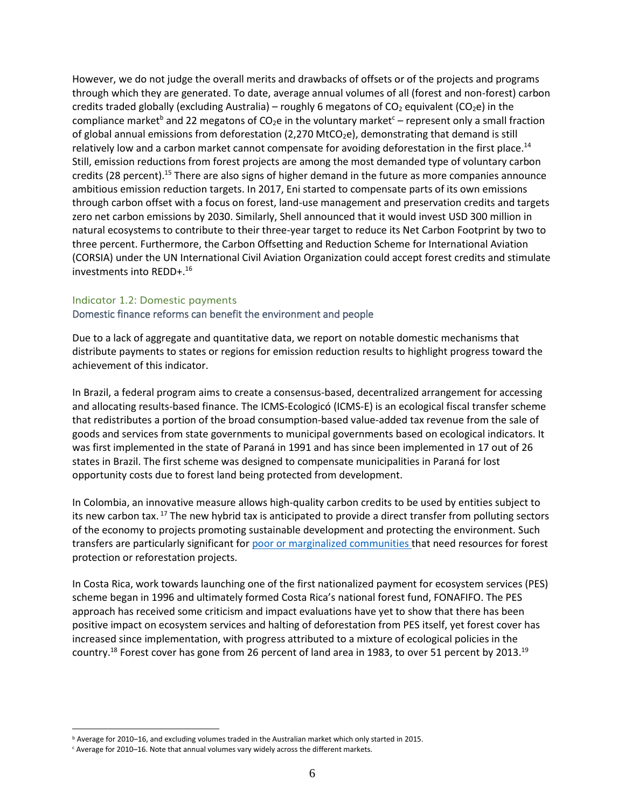However, we do not judge the overall merits and drawbacks of offsets or of the projects and programs through which they are generated. To date, average annual volumes of all (forest and non-forest) carbon credits traded globally (excluding Australia) – roughly 6 megatons of  $CO<sub>2</sub>$  equivalent ( $CO<sub>2</sub>e$ ) in the compliance market<sup>b</sup> and 22 megatons of CO<sub>2</sub>e in the voluntary market<sup>c</sup> – represent only a small fraction of global annual emissions from deforestation (2,270 MtCO<sub>2</sub>e), demonstrating that demand is still relatively low and a carbon market cannot compensate for avoiding deforestation in the first place.<sup>14</sup> Still, emission reductions from forest projects are among the most demanded type of voluntary carbon credits (28 percent).<sup>15</sup> There are also signs of higher demand in the future as more companies announce ambitious emission reduction targets. In 2017, Eni started to compensate parts of its own emissions through carbon offset with a focus on forest, land-use management and preservation credits and targets zero net carbon emissions by 2030. Similarly, Shell announced that it would invest USD 300 million in natural ecosystems to contribute to their three-year target to reduce its Net Carbon Footprint by two to three percent. Furthermore, the Carbon Offsetting and Reduction Scheme for International Aviation (CORSIA) under the UN International Civil Aviation Organization could accept forest credits and stimulate investments into REDD+.<sup>16</sup>

#### Indicator 1.2: Domestic payments

#### Domestic finance reforms can benefit the environment and people

Due to a lack of aggregate and quantitative data, we report on notable domestic mechanisms that distribute payments to states or regions for emission reduction results to highlight progress toward the achievement of this indicator.

In Brazil, a federal program aims to create a consensus-based, decentralized arrangement for accessing and allocating results-based finance. The ICMS-Ecologicó (ICMS-E) is an ecological fiscal transfer scheme that redistributes a portion of the broad consumption-based value-added tax revenue from the sale of goods and services from state governments to municipal governments based on ecological indicators. It was first implemented in the state of Paraná in 1991 and has since been implemented in 17 out of 26 states in Brazil. The first scheme was designed to compensate municipalities in Paraná for lost opportunity costs due to forest land being protected from development.

In Colombia, an innovative measure allows high-quality carbon credits to be used by entities subject to its new carbon tax. <sup>17</sup> The new hybrid tax is anticipated to provide a direct transfer from polluting sectors of the economy to projects promoting sustainable development and protecting the environment. Such transfers are particularly significant for [poor or marginalized communities t](http://www.forestdeclaration.org/goals/goal-4)hat need resources for forest protection or reforestation projects.

In Costa Rica, work towards launching one of the first nationalized payment for ecosystem services (PES) scheme began in 1996 and ultimately formed Costa Rica's national forest fund, FONAFIFO. The PES approach has received some criticism and impact evaluations have yet to show that there has been positive impact on ecosystem services and halting of deforestation from PES itself, yet forest cover has increased since implementation, with progress attributed to a mixture of ecological policies in the country.<sup>18</sup> Forest cover has gone from 26 percent of land area in 1983, to over 51 percent by 2013.<sup>19</sup>

<sup>b</sup> Average for 2010–16, and excluding volumes traded in the Australian market which only started in 2015.

<sup>c</sup> Average for 2010–16. Note that annual volumes vary widely across the different markets.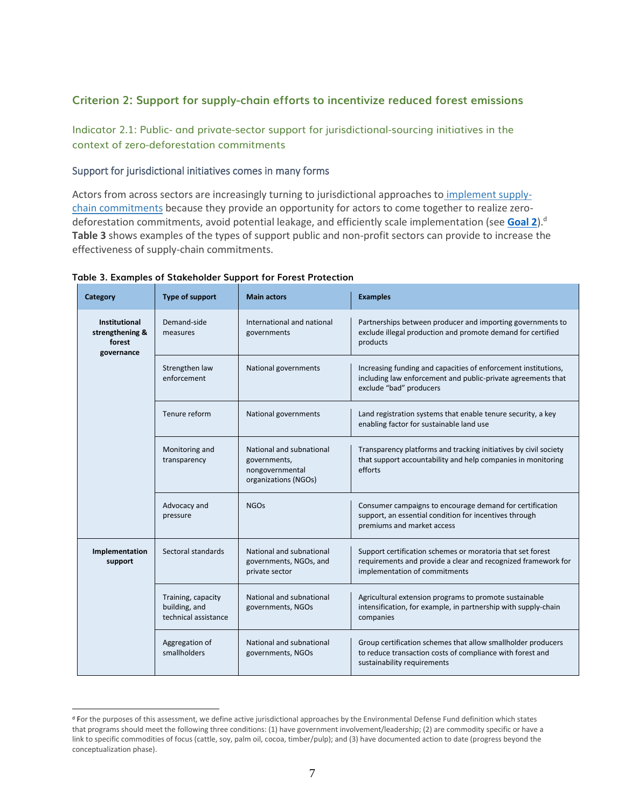## **Criterion 2: Support for supply-chain efforts to incentivize reduced forest emissions**

Indicator 2.1: Public- and private-sector support for jurisdictional-sourcing initiatives in the context of zero-deforestation commitments

## Support for jurisdictional initiatives comes in many forms

Actors from across sectors are increasingly turning to jurisdictional approaches to [implement supply](http://forestdeclaration.org/goals/goal-2/)[chain commitments](http://forestdeclaration.org/goals/goal-2/) because they provide an opportunity for actors to come together to realize zerodeforestation commitments, avoid potential leakage, and efficiently scale implementation (see **[Goal 2](http://www.forestdeclaration.org/goals/goal-2)**). d **Table 3** shows examples of the types of support public and non-profit sectors can provide to increase the effectiveness of supply-chain commitments.

| Category                                                        | Type of support                                             | <b>Main actors</b>                                                                  | <b>Examples</b>                                                                                                                                              |
|-----------------------------------------------------------------|-------------------------------------------------------------|-------------------------------------------------------------------------------------|--------------------------------------------------------------------------------------------------------------------------------------------------------------|
| <b>Institutional</b><br>strengthening &<br>forest<br>governance | Demand-side<br>measures                                     | International and national<br>governments                                           | Partnerships between producer and importing governments to<br>exclude illegal production and promote demand for certified<br>products                        |
|                                                                 | Strengthen law<br>enforcement                               | National governments                                                                | Increasing funding and capacities of enforcement institutions,<br>including law enforcement and public-private agreements that<br>exclude "bad" producers    |
|                                                                 | Tenure reform                                               | National governments                                                                | Land registration systems that enable tenure security, a key<br>enabling factor for sustainable land use                                                     |
|                                                                 | Monitoring and<br>transparency                              | National and subnational<br>governments,<br>nongovernmental<br>organizations (NGOs) | Transparency platforms and tracking initiatives by civil society<br>that support accountability and help companies in monitoring<br>efforts                  |
|                                                                 | Advocacy and<br>pressure                                    | <b>NGOs</b>                                                                         | Consumer campaigns to encourage demand for certification<br>support, an essential condition for incentives through<br>premiums and market access             |
| Implementation<br>support                                       | Sectoral standards                                          | National and subnational<br>governments, NGOs, and<br>private sector                | Support certification schemes or moratoria that set forest<br>requirements and provide a clear and recognized framework for<br>implementation of commitments |
|                                                                 | Training, capacity<br>building, and<br>technical assistance | National and subnational<br>governments, NGOs                                       | Agricultural extension programs to promote sustainable<br>intensification, for example, in partnership with supply-chain<br>companies                        |
|                                                                 | Aggregation of<br>smallholders                              | National and subnational<br>governments, NGOs                                       | Group certification schemes that allow smallholder producers<br>to reduce transaction costs of compliance with forest and<br>sustainability requirements     |

**Table 3. Examples of Stakeholder Support for Forest Protection**

<sup>&</sup>lt;sup>d</sup> For the purposes of this assessment, we define active jurisdictional approaches by the Environmental Defense Fund definition which states that programs should meet the following three conditions: (1) have government involvement/leadership; (2) are commodity specific or have a link to specific commodities of focus (cattle, soy, palm oil, cocoa, timber/pulp); and (3) have documented action to date (progress beyond the conceptualization phase).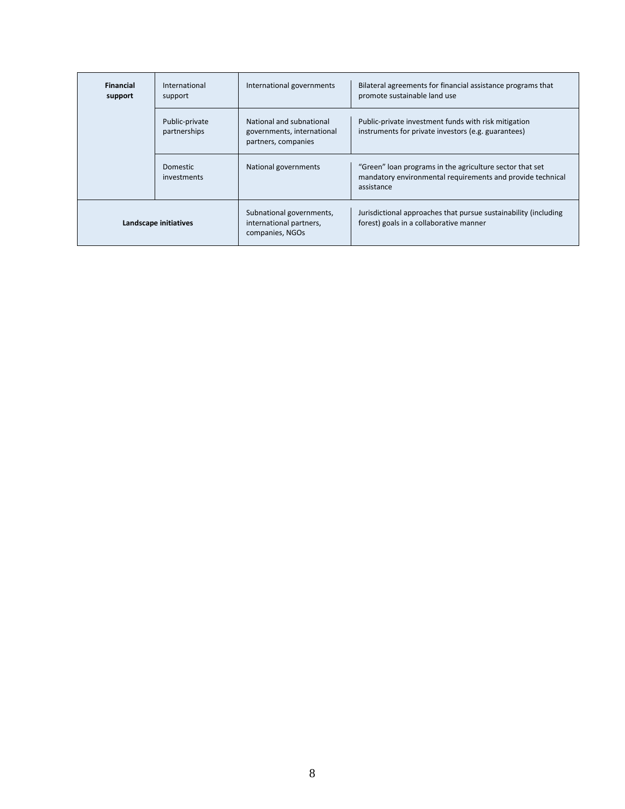| <b>Financial</b><br>support | International<br>support       | International governments                                                     | Bilateral agreements for financial assistance programs that<br>promote sustainable land use                                          |
|-----------------------------|--------------------------------|-------------------------------------------------------------------------------|--------------------------------------------------------------------------------------------------------------------------------------|
|                             | Public-private<br>partnerships | National and subnational<br>governments, international<br>partners, companies | Public-private investment funds with risk mitigation<br>instruments for private investors (e.g. guarantees)                          |
|                             | <b>Domestic</b><br>investments | National governments                                                          | "Green" loan programs in the agriculture sector that set<br>mandatory environmental requirements and provide technical<br>assistance |
|                             | Landscape initiatives          | Subnational governments,<br>international partners,<br>companies, NGOs        | Jurisdictional approaches that pursue sustainability (including<br>forest) goals in a collaborative manner                           |